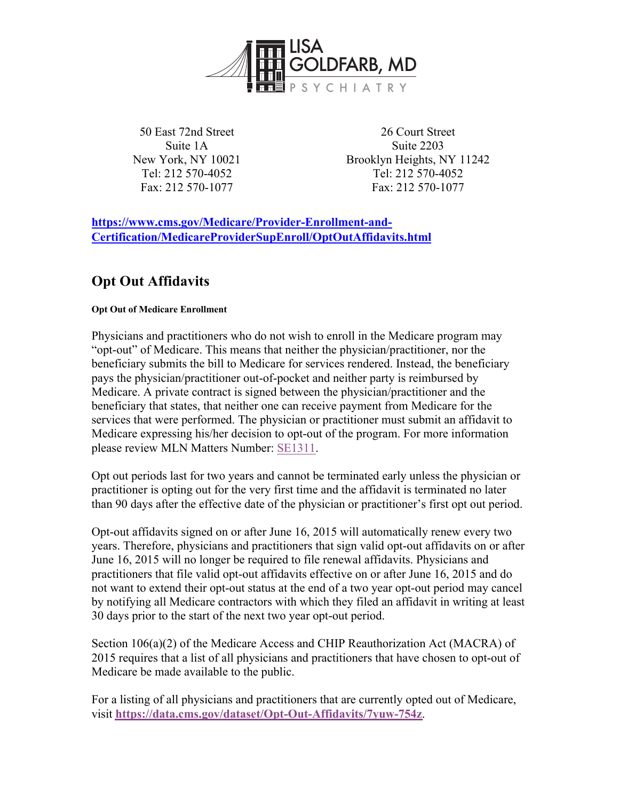

50 East 72nd Street Suite 1A New York, NY 10021 Tel: 212 570-4052 Fax: 212 570-1077

26 Court Street Suite 2203 Brooklyn Heights, NY 11242 Tel: 212 570-4052 Fax: 212 570-1077

**https://www.cms.gov/Medicare/Provider-Enrollment-and-Certification/MedicareProviderSupEnroll/OptOutAffidavits.html**

## **Opt Out Affidavits**

## **Opt Out of Medicare Enrollment**

Physicians and practitioners who do not wish to enroll in the Medicare program may "opt-out" of Medicare. This means that neither the physician/practitioner, nor the beneficiary submits the bill to Medicare for services rendered. Instead, the beneficiary pays the physician/practitioner out-of-pocket and neither party is reimbursed by Medicare. A private contract is signed between the physician/practitioner and the beneficiary that states, that neither one can receive payment from Medicare for the services that were performed. The physician or practitioner must submit an affidavit to Medicare expressing his/her decision to opt-out of the program. For more information please review MLN Matters Number: SE1311.

Opt out periods last for two years and cannot be terminated early unless the physician or practitioner is opting out for the very first time and the affidavit is terminated no later than 90 days after the effective date of the physician or practitioner's first opt out period.

Opt-out affidavits signed on or after June 16, 2015 will automatically renew every two years. Therefore, physicians and practitioners that sign valid opt-out affidavits on or after June 16, 2015 will no longer be required to file renewal affidavits. Physicians and practitioners that file valid opt-out affidavits effective on or after June 16, 2015 and do not want to extend their opt-out status at the end of a two year opt-out period may cancel by notifying all Medicare contractors with which they filed an affidavit in writing at least 30 days prior to the start of the next two year opt-out period.

Section 106(a)(2) of the Medicare Access and CHIP Reauthorization Act (MACRA) of 2015 requires that a list of all physicians and practitioners that have chosen to opt-out of Medicare be made available to the public.

For a listing of all physicians and practitioners that are currently opted out of Medicare, visit **https://data.cms.gov/dataset/Opt-Out-Affidavits/7yuw-754z**.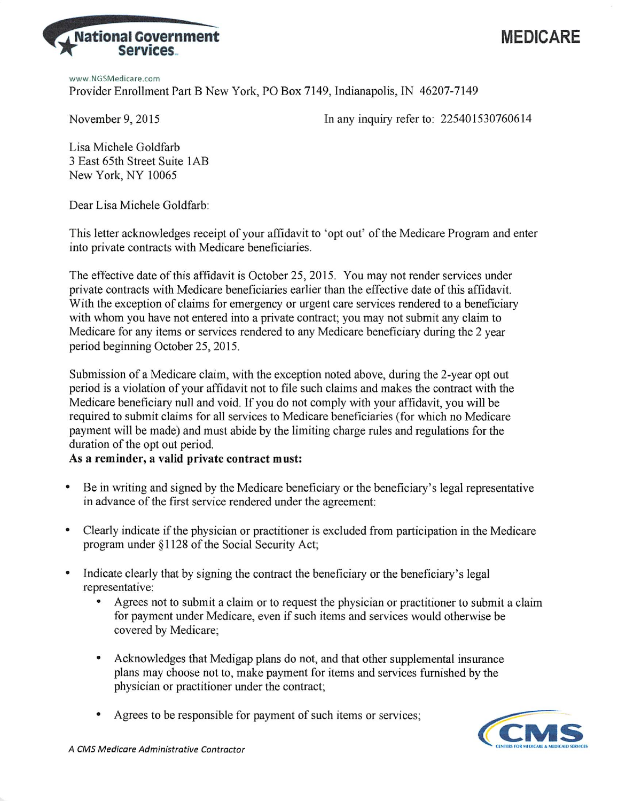



www.NGSMedicare.com Provider Enrollment Part B New York, PO Box 7149, Indianapolis, IN 46207-7149

November 9, 2015

In any inquiry refer to: 225401530760614

Lisa Michele Goldfarb 3 East 65th Street Suite 1AB New York, NY 10065

Dear Lisa Michele Goldfarb:

This letter acknowledges receipt of your affidavit to 'opt out' of the Medicare Program and enter into private contracts with Medicare beneficiaries.

The effective date of this affidavit is October 25, 2015. You may not render services under private contracts with Medicare beneficiaries earlier than the effective date of this affidavit. With the exception of claims for emergency or urgent care services rendered to a beneficiary with whom you have not entered into a private contract; you may not submit any claim to Medicare for any items or services rendered to any Medicare beneficiary during the 2 year period beginning October 25, 2015.

Submission of a Medicare claim, with the exception noted above, during the 2-year opt out period is a violation of your affidavit not to file such claims and makes the contract with the Medicare beneficiary null and void. If you do not comply with your affidavit, you will be required to submit claims for all services to Medicare beneficiaries (for which no Medicare payment will be made) and must abide by the limiting charge rules and regulations for the duration of the opt out period.

## As a reminder, a valid private contract must:

- Be in writing and signed by the Medicare beneficiary or the beneficiary's legal representative in advance of the first service rendered under the agreement:
- Clearly indicate if the physician or practitioner is excluded from participation in the Medicare program under §1128 of the Social Security Act;
- $\bullet$ Indicate clearly that by signing the contract the beneficiary or the beneficiary's legal representative:
	- Agrees not to submit a claim or to request the physician or practitioner to submit a claim for payment under Medicare, even if such items and services would otherwise be covered by Medicare;
	- Acknowledges that Medigap plans do not, and that other supplemental insurance plans may choose not to, make payment for items and services furnished by the physician or practitioner under the contract;
	- Agrees to be responsible for payment of such items or services;